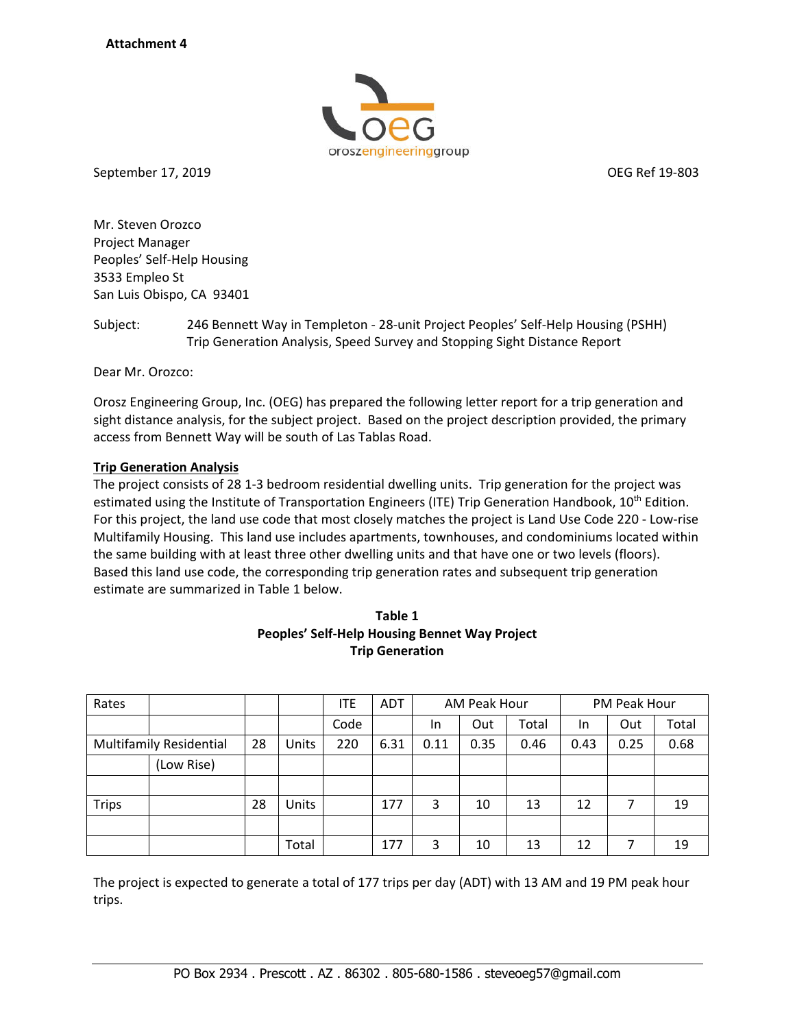

September 17, 2019 OEG Ref 19‐803

Mr. Steven Orozco Project Manager Peoples' Self‐Help Housing 3533 Empleo St San Luis Obispo, CA 93401

Subject: 246 Bennett Way in Templeton ‐ 28‐unit Project Peoples' Self‐Help Housing (PSHH) Trip Generation Analysis, Speed Survey and Stopping Sight Distance Report

Dear Mr. Orozco:

Orosz Engineering Group, Inc. (OEG) has prepared the following letter report for a trip generation and sight distance analysis, for the subject project. Based on the project description provided, the primary access from Bennett Way will be south of Las Tablas Road.

## **Trip Generation Analysis**

The project consists of 28 1‐3 bedroom residential dwelling units. Trip generation for the project was estimated using the Institute of Transportation Engineers (ITE) Trip Generation Handbook, 10<sup>th</sup> Edition. For this project, the land use code that most closely matches the project is Land Use Code 220 - Low-rise Multifamily Housing. This land use includes apartments, townhouses, and condominiums located within the same building with at least three other dwelling units and that have one or two levels (floors). Based this land use code, the corresponding trip generation rates and subsequent trip generation estimate are summarized in Table 1 below.

| Table 1                                       |
|-----------------------------------------------|
| Peoples' Self-Help Housing Bennet Way Project |
| <b>Trip Generation</b>                        |

| Rates                          |            |    |       | ITE  | <b>ADT</b> |      | AM Peak Hour |       |      | PM Peak Hour |       |
|--------------------------------|------------|----|-------|------|------------|------|--------------|-------|------|--------------|-------|
|                                |            |    |       | Code |            | In.  | Out          | Total | In   | Out          | Total |
| <b>Multifamily Residential</b> |            | 28 | Units | 220  | 6.31       | 0.11 | 0.35         | 0.46  | 0.43 | 0.25         | 0.68  |
|                                | (Low Rise) |    |       |      |            |      |              |       |      |              |       |
|                                |            |    |       |      |            |      |              |       |      |              |       |
| <b>Trips</b>                   |            | 28 | Units |      | 177        | 3    | 10           | 13    | 12   | 7            | 19    |
|                                |            |    |       |      |            |      |              |       |      |              |       |
|                                |            |    | Total |      | 177        | 3    | 10           | 13    | 12   |              | 19    |

The project is expected to generate a total of 177 trips per day (ADT) with 13 AM and 19 PM peak hour trips.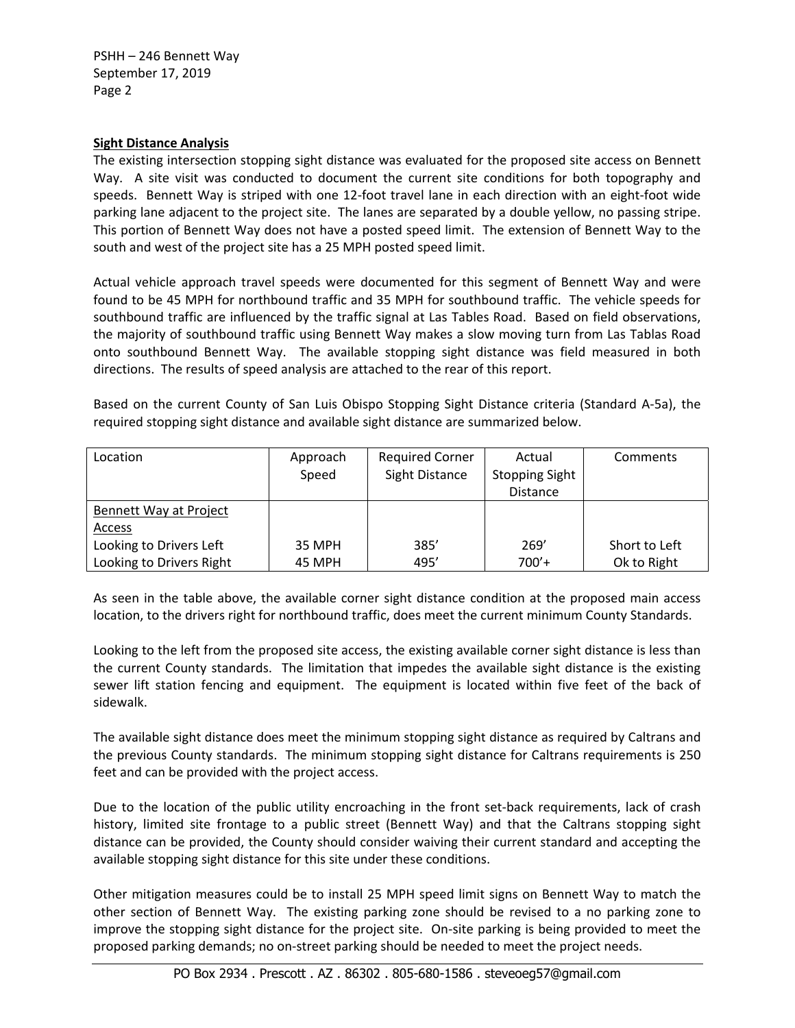PSHH – 246 Bennett Way September 17, 2019 Page 2

## **Sight Distance Analysis**

The existing intersection stopping sight distance was evaluated for the proposed site access on Bennett Way. A site visit was conducted to document the current site conditions for both topography and speeds. Bennett Way is striped with one 12-foot travel lane in each direction with an eight-foot wide parking lane adjacent to the project site. The lanes are separated by a double yellow, no passing stripe. This portion of Bennett Way does not have a posted speed limit. The extension of Bennett Way to the south and west of the project site has a 25 MPH posted speed limit.

Actual vehicle approach travel speeds were documented for this segment of Bennett Way and were found to be 45 MPH for northbound traffic and 35 MPH for southbound traffic. The vehicle speeds for southbound traffic are influenced by the traffic signal at Las Tables Road. Based on field observations, the majority of southbound traffic using Bennett Way makes a slow moving turn from Las Tablas Road onto southbound Bennett Way. The available stopping sight distance was field measured in both directions. The results of speed analysis are attached to the rear of this report.

Based on the current County of San Luis Obispo Stopping Sight Distance criteria (Standard A-5a), the required stopping sight distance and available sight distance are summarized below.

| Location                 | Approach<br>Speed | <b>Required Corner</b><br>Sight Distance | Actual<br><b>Stopping Sight</b> | Comments      |  |  |
|--------------------------|-------------------|------------------------------------------|---------------------------------|---------------|--|--|
|                          |                   |                                          | <b>Distance</b>                 |               |  |  |
| Bennett Way at Project   |                   |                                          |                                 |               |  |  |
| Access                   |                   |                                          |                                 |               |  |  |
| Looking to Drivers Left  | 35 MPH            | 385'                                     | 269'                            | Short to Left |  |  |
| Looking to Drivers Right | 45 MPH            | 495'                                     | $700'+$                         | Ok to Right   |  |  |

As seen in the table above, the available corner sight distance condition at the proposed main access location, to the drivers right for northbound traffic, does meet the current minimum County Standards.

Looking to the left from the proposed site access, the existing available corner sight distance is less than the current County standards. The limitation that impedes the available sight distance is the existing sewer lift station fencing and equipment. The equipment is located within five feet of the back of sidewalk.

The available sight distance does meet the minimum stopping sight distance as required by Caltrans and the previous County standards. The minimum stopping sight distance for Caltrans requirements is 250 feet and can be provided with the project access.

Due to the location of the public utility encroaching in the front set-back requirements, lack of crash history, limited site frontage to a public street (Bennett Way) and that the Caltrans stopping sight distance can be provided, the County should consider waiving their current standard and accepting the available stopping sight distance for this site under these conditions.

Other mitigation measures could be to install 25 MPH speed limit signs on Bennett Way to match the other section of Bennett Way. The existing parking zone should be revised to a no parking zone to improve the stopping sight distance for the project site. On‐site parking is being provided to meet the proposed parking demands; no on‐street parking should be needed to meet the project needs.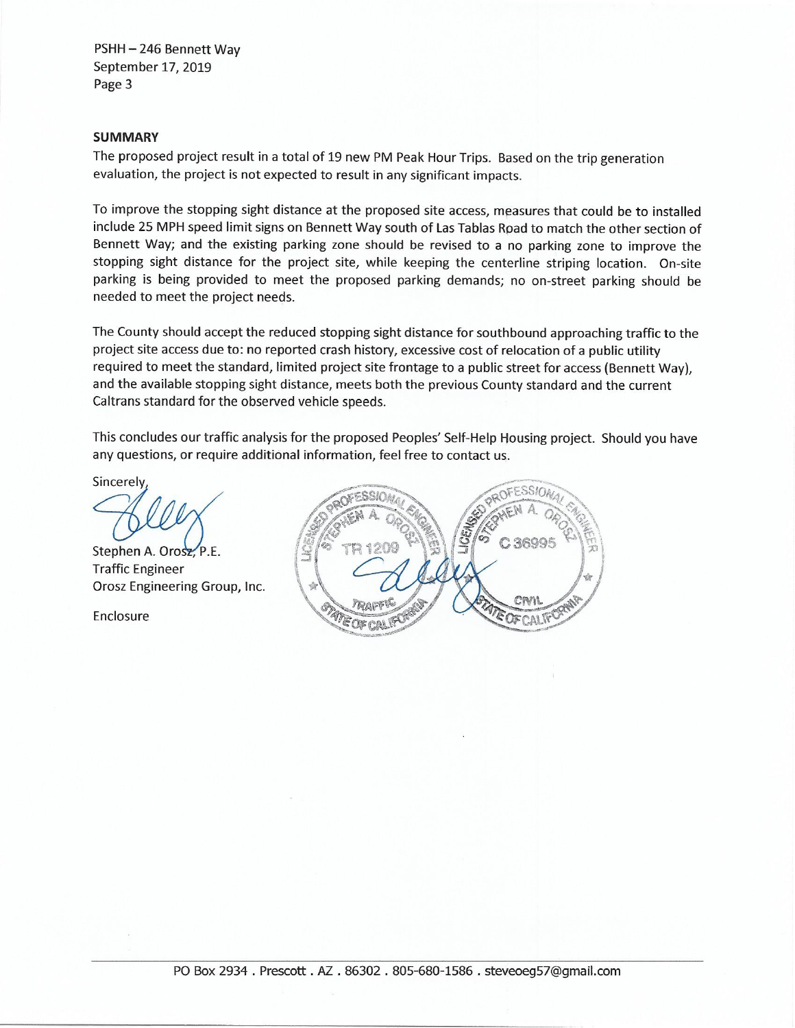PSHH-246 Bennett Way September 17, 2019 Page 3

### **SUMMARY**

The proposed project result in a total of 19 new PM Peak Hour Trips. Based on the trip generation evaluation, the project is not expected to result in any significant impacts.

To improve the stopping sight distance at the proposed site access, measures that could be to installed include 25 MPH speed limit signs on Bennett Way south of Las Tablas Road to match the other section of Bennett Way; and the existing parking zone should be revised to a no parking zone to improve the stopping sight distance for the project site, while keeping the centerline striping location. On-site parking is being provided to meet the proposed parking demands; no on-street parking should be needed to meet the project needs.

The County should accept the reduced stopping sight distance for southbound approaching traffic to the project site access due to: no reported crash history, excessive cost of relocation of a public utility required to meet the standard, limited project site frontage to a public street for access (Bennett Way), and the available stopping sight distance, meets both the previous County standard and the current Caltrans standard for the observed vehicle speeds.

This concludes our traffic analysis for the proposed Peoples' Self-Help Housing project. Should you have any questions, or require additional information, feel free to contact us.

Sincerely

Stephen A. Orosz, P.E. **Traffic Engineer** Orosz Engineering Group, Inc.

Enclosure

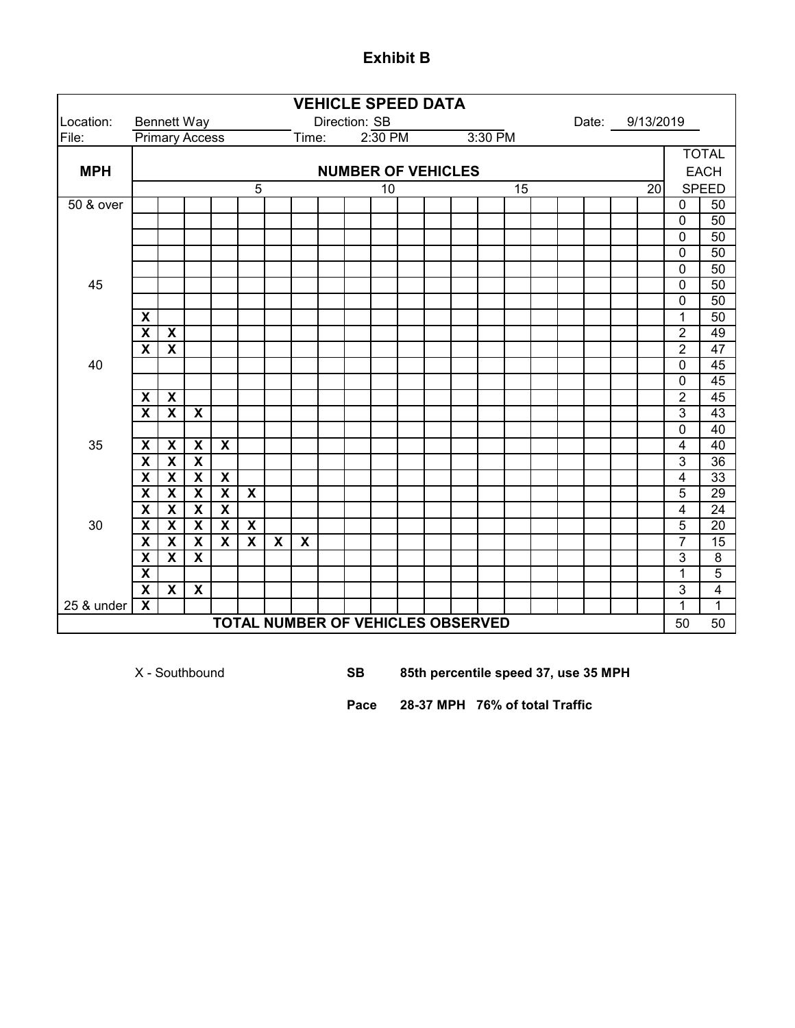#### Location: Bennett Way Direction: SB Date: File: Primary Access Time: **MPH** 5 10 15 20 50 & over 0 50  $0 \mid 50$  $0 \mid 50$ 0 50  $0$  50 45 0 50  $0 \mid 50$ **X** 1 50 **X X** 2 49 **X X** 2 47 40 0 45 0 45 **X X** 2 45 **X X X** 3 43  $\begin{array}{|c|c|c|}\n\hline\n0 & 40 \\
\hline\n4 & 40\n\end{array}$ 35 **X X X X** 4 40 **X X X** 3 36 **X X X X** 4 33 **X X X X X** 5 29 **X X X X** 4 24 30 **X X X X X** 5 20 **X X X X X X X** 7 15 **X X X** 3 8 **X** 1 5 **X X X** 3 4 25 & under **X** 1 1 50 50 **VEHICLE SPEED DATA NUMBER OF VEHICLES TOTAL NUMBER OF VEHICLES OBSERVED** Date: 9/13/2019 TOTAL EACH SPEED  $2:30$  PM

**Exhibit B**

X - Southbound **SB 85th percentile speed 37, use 35 MPH**

**Pace 28-37 MPH 76% of total Traffic**